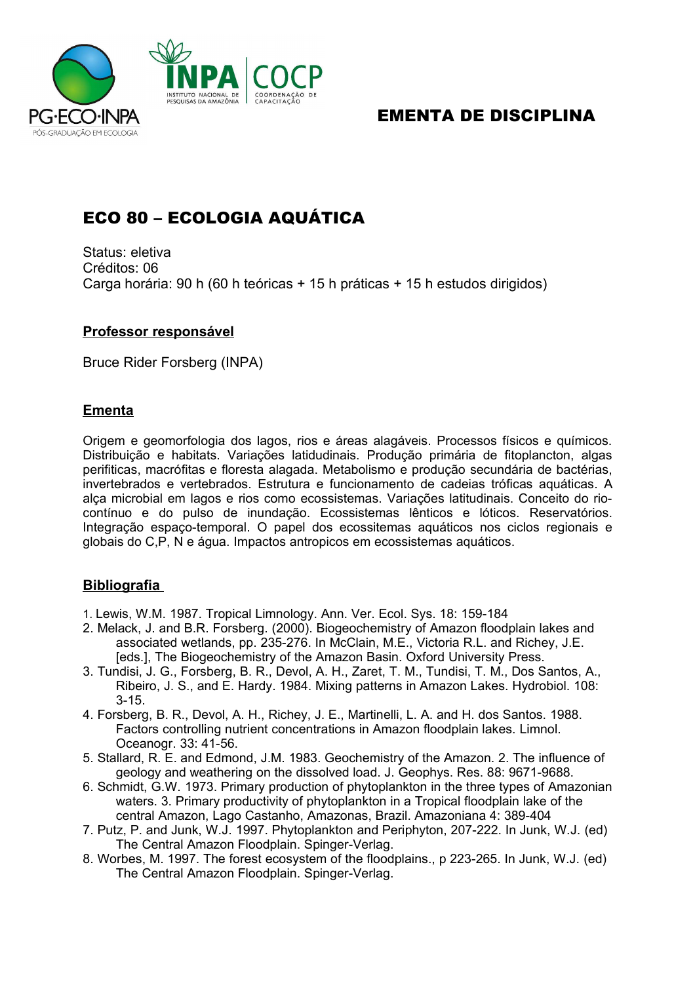

## EMENTA DE DISCIPLINA

# ECO 80 – ECOLOGIA AQUÁTICA

Status: eletiva Créditos: 06 Carga horária: 90 h (60 h teóricas + 15 h práticas + 15 h estudos dirigidos)

### **Professor responsável**

Bruce Rider Forsberg (INPA)

### **Ementa**

Origem e geomorfologia dos lagos, rios e áreas alagáveis. Processos físicos e químicos. Distribuição e habitats. Variações latidudinais. Produção primária de fitoplancton, algas perifiticas, macrófitas e floresta alagada. Metabolismo e produção secundária de bactérias, invertebrados e vertebrados. Estrutura e funcionamento de cadeias tróficas aquáticas. A alça microbial em lagos e rios como ecossistemas. Variações latitudinais. Conceito do riocontínuo e do pulso de inundação. Ecossistemas lênticos e lóticos. Reservatórios. Integração espaço-temporal. O papel dos ecossitemas aquáticos nos ciclos regionais e globais do C,P, N e água. Impactos antropicos em ecossistemas aquáticos.

### **Bibliografia**

- 1. Lewis, W.M. 1987. Tropical Limnology. Ann. Ver. Ecol. Sys. 18: 159-184
- 2. Melack, J. and B.R. Forsberg. (2000). Biogeochemistry of Amazon floodplain lakes and associated wetlands, pp. 235-276. In McClain, M.E., Victoria R.L. and Richey, J.E. [eds.], The Biogeochemistry of the Amazon Basin. Oxford University Press.
- 3. Tundisi, J. G., Forsberg, B. R., Devol, A. H., Zaret, T. M., Tundisi, T. M., Dos Santos, A., Ribeiro, J. S., and E. Hardy. 1984. Mixing patterns in Amazon Lakes. Hydrobiol. 108: 3-15.
- 4. Forsberg, B. R., Devol, A. H., Richey, J. E., Martinelli, L. A. and H. dos Santos. 1988. Factors controlling nutrient concentrations in Amazon floodplain lakes. Limnol. Oceanogr. 33: 41-56.
- 5. Stallard, R. E. and Edmond, J.M. 1983. Geochemistry of the Amazon. 2. The influence of geology and weathering on the dissolved load. J. Geophys. Res. 88: 9671-9688.
- 6. Schmidt, G.W. 1973. Primary production of phytoplankton in the three types of Amazonian waters. 3. Primary productivity of phytoplankton in a Tropical floodplain lake of the central Amazon, Lago Castanho, Amazonas, Brazil. Amazoniana 4: 389-404
- 7. Putz, P. and Junk, W.J. 1997. Phytoplankton and Periphyton, 207-222. In Junk, W.J. (ed) The Central Amazon Floodplain. Spinger-Verlag.
- 8. Worbes, M. 1997. The forest ecosystem of the floodplains., p 223-265. In Junk, W.J. (ed) The Central Amazon Floodplain. Spinger-Verlag.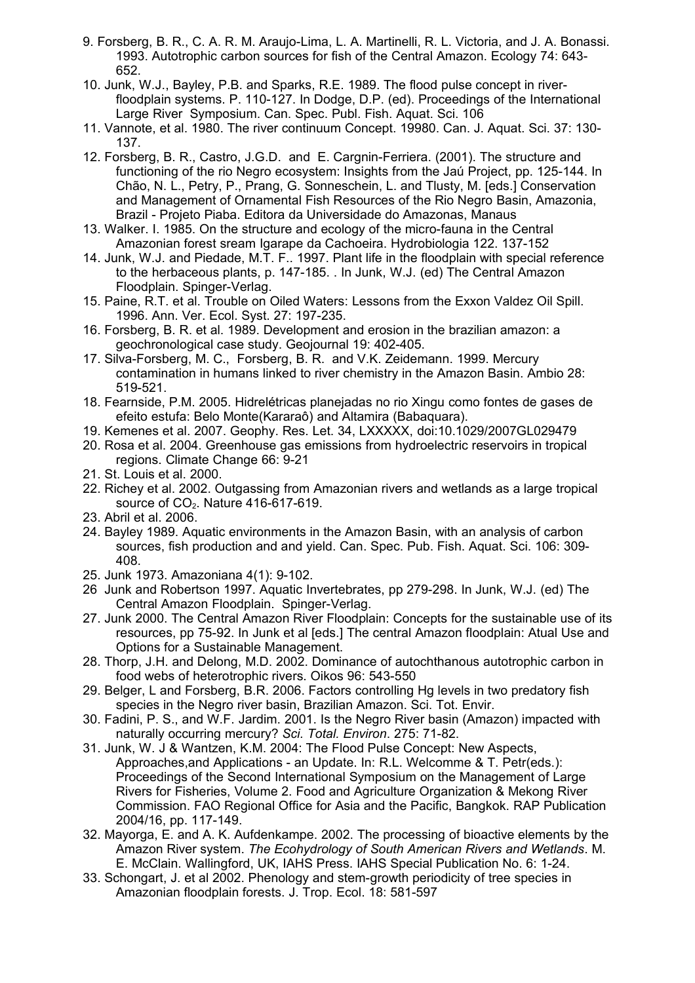- 9. Forsberg, B. R., C. A. R. M. Araujo-Lima, L. A. Martinelli, R. L. Victoria, and J. A. Bonassi. 1993. Autotrophic carbon sources for fish of the Central Amazon. Ecology 74: 643- 652.
- 10. Junk, W.J., Bayley, P.B. and Sparks, R.E. 1989. The flood pulse concept in riverfloodplain systems. P. 110-127. In Dodge, D.P. (ed). Proceedings of the International Large River Symposium. Can. Spec. Publ. Fish. Aquat. Sci. 106
- 11. Vannote, et al. 1980. The river continuum Concept. 19980. Can. J. Aquat. Sci. 37: 130- 137.
- 12. Forsberg, B. R., Castro, J.G.D. and E. Cargnin-Ferriera. (2001). The structure and functioning of the rio Negro ecosystem: Insights from the Jaú Project, pp. 125-144. In Chão, N. L., Petry, P., Prang, G. Sonneschein, L. and Tlusty, M. [eds.] Conservation and Management of Ornamental Fish Resources of the Rio Negro Basin, Amazonia, Brazil - Projeto Piaba. Editora da Universidade do Amazonas, Manaus
- 13. Walker. I. 1985. On the structure and ecology of the micro-fauna in the Central Amazonian forest sream Igarape da Cachoeira. Hydrobiologia 122. 137-152
- 14. Junk, W.J. and Piedade, M.T. F.. 1997. Plant life in the floodplain with special reference to the herbaceous plants, p. 147-185. . In Junk, W.J. (ed) The Central Amazon Floodplain. Spinger-Verlag.
- 15. Paine, R.T. et al. Trouble on Oiled Waters: Lessons from the Exxon Valdez Oil Spill. 1996. Ann. Ver. Ecol. Syst. 27: 197-235.
- 16. Forsberg, B. R. et al. 1989. Development and erosion in the brazilian amazon: a geochronological case study. Geojournal 19: 402-405.
- 17. Silva-Forsberg, M. C., Forsberg, B. R. and V.K. Zeidemann. 1999. Mercury contamination in humans linked to river chemistry in the Amazon Basin. Ambio 28: 519-521.
- 18. Fearnside, P.M. 2005. Hidrelétricas planejadas no rio Xingu como fontes de gases de efeito estufa: Belo Monte(Kararaô) and Altamira (Babaquara).
- 19. Kemenes et al. 2007. Geophy. Res. Let. 34, LXXXXX, doi:10.1029/2007GL029479
- 20. Rosa et al. 2004. Greenhouse gas emissions from hydroelectric reservoirs in tropical regions. Climate Change 66: 9-21
- 21. St. Louis et al. 2000.
- 22. Richey et al. 2002. Outgassing from Amazonian rivers and wetlands as a large tropical source of CO<sub>2</sub>. Nature 416-617-619.
- 23. Abril et al. 2006.
- 24. Bayley 1989. Aquatic environments in the Amazon Basin, with an analysis of carbon sources, fish production and and yield. Can. Spec. Pub. Fish. Aquat. Sci. 106: 309- 408.
- 25. Junk 1973. Amazoniana 4(1): 9-102.
- 26 Junk and Robertson 1997. Aquatic Invertebrates, pp 279-298. In Junk, W.J. (ed) The Central Amazon Floodplain. Spinger-Verlag.
- 27. Junk 2000. The Central Amazon River Floodplain: Concepts for the sustainable use of its resources, pp 75-92. In Junk et al [eds.] The central Amazon floodplain: Atual Use and Options for a Sustainable Management.
- 28. Thorp, J.H. and Delong, M.D. 2002. Dominance of autochthanous autotrophic carbon in food webs of heterotrophic rivers. Oikos 96: 543-550
- 29. Belger, L and Forsberg, B.R. 2006. Factors controlling Hg levels in two predatory fish species in the Negro river basin, Brazilian Amazon. Sci. Tot. Envir.
- 30. Fadini, P. S., and W.F. Jardim. 2001. Is the Negro River basin (Amazon) impacted with naturally occurring mercury? *Sci. Total. Environ*. 275: 71-82.
- 31. Junk, W. J & Wantzen, K.M. 2004: The Flood Pulse Concept: New Aspects, Approaches,and Applications - an Update. In: R.L. Welcomme & T. Petr(eds.): Proceedings of the Second International Symposium on the Management of Large Rivers for Fisheries, Volume 2. Food and Agriculture Organization & Mekong River Commission. FAO Regional Office for Asia and the Pacific, Bangkok. RAP Publication 2004/16, pp. 117-149.
- 32. Mayorga, E. and A. K. Aufdenkampe. 2002. The processing of bioactive elements by the Amazon River system. *The Ecohydrology of South American Rivers and Wetlands*. M. E. McClain. Wallingford, UK, IAHS Press. IAHS Special Publication No. 6: 1-24.
- 33. Schongart, J. et al 2002. Phenology and stem-growth periodicity of tree species in Amazonian floodplain forests. J. Trop. Ecol. 18: 581-597